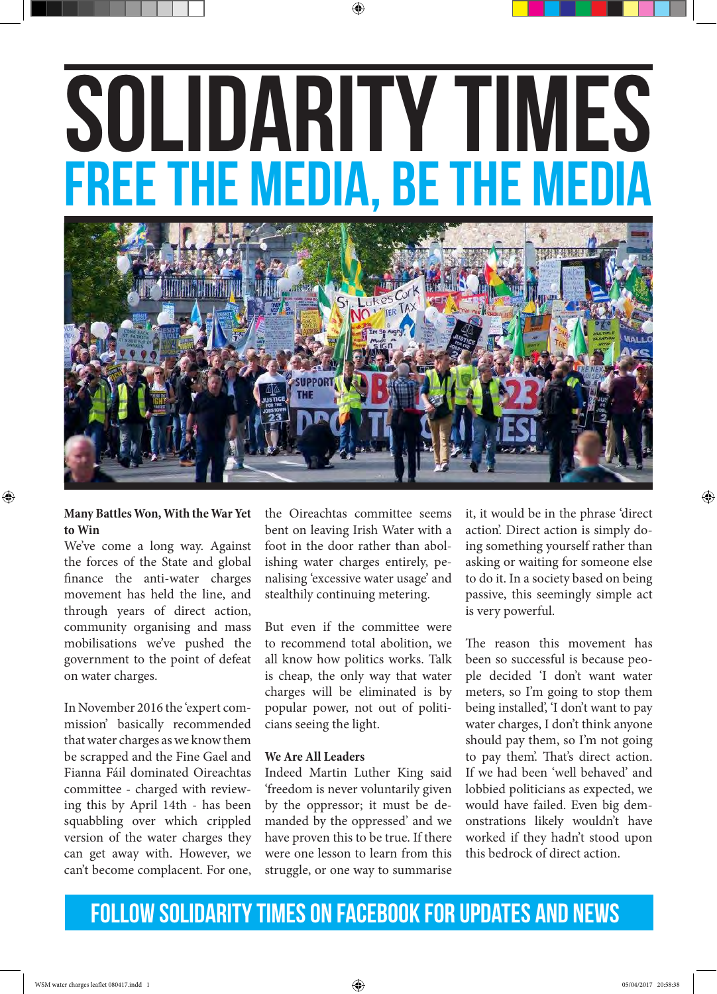# SOLIDARITY TIMES free the media, be the media



## **Many Battles Won, With the War Yet to Win**

⊕

We've come a long way. Against the forces of the State and global finance the anti-water charges movement has held the line, and through years of direct action, community organising and mass mobilisations we've pushed the government to the point of defeat on water charges.

In November 2016 the 'expert commission' basically recommended that water charges as we know them be scrapped and the Fine Gael and Fianna Fáil dominated Oireachtas committee - charged with reviewing this by April 14th - has been squabbling over which crippled version of the water charges they can get away with. However, we can't become complacent. For one,

the Oireachtas committee seems bent on leaving Irish Water with a foot in the door rather than abolishing water charges entirely, penalising 'excessive water usage' and stealthily continuing metering.

But even if the committee were to recommend total abolition, we all know how politics works. Talk is cheap, the only way that water charges will be eliminated is by popular power, not out of politicians seeing the light.

## **We Are All Leaders**

Indeed Martin Luther King said 'freedom is never voluntarily given by the oppressor; it must be demanded by the oppressed' and we have proven this to be true. If there were one lesson to learn from this struggle, or one way to summarise

it, it would be in the phrase 'direct action'. Direct action is simply doing something yourself rather than asking or waiting for someone else to do it. In a society based on being passive, this seemingly simple act is very powerful.

The reason this movement has been so successful is because people decided 'I don't want water meters, so I'm going to stop them being installed', 'I don't want to pay water charges, I don't think anyone should pay them, so I'm not going to pay them'. That's direct action. If we had been 'well behaved' and lobbied politicians as expected, we would have failed. Even big demonstrations likely wouldn't have worked if they hadn't stood upon this bedrock of direct action.

# FOLLOW SOLIDARITY TIMES ON FACEBOOK FOR UPDATES AND NEWS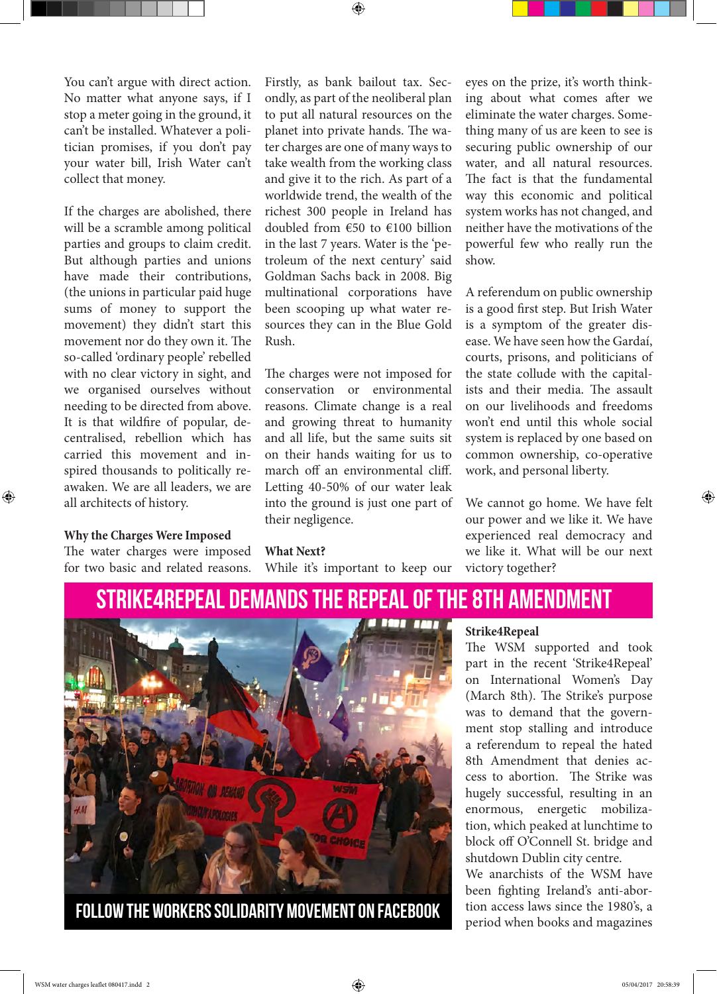You can't argue with direct action. No matter what anyone says, if I stop a meter going in the ground, it can't be installed. Whatever a politician promises, if you don't pay your water bill, Irish Water can't collect that money.

If the charges are abolished, there will be a scramble among political parties and groups to claim credit. But although parties and unions have made their contributions, (the unions in particular paid huge sums of money to support the movement) they didn't start this movement nor do they own it. The so-called 'ordinary people' rebelled with no clear victory in sight, and we organised ourselves without needing to be directed from above. It is that wildfire of popular, decentralised, rebellion which has carried this movement and inspired thousands to politically reawaken. We are all leaders, we are all architects of history.

#### **Why the Charges Were Imposed**

⊕

The water charges were imposed for two basic and related reasons.

Firstly, as bank bailout tax. Secondly, as part of the neoliberal plan to put all natural resources on the planet into private hands. The water charges are one of many ways to take wealth from the working class and give it to the rich. As part of a worldwide trend, the wealth of the richest 300 people in Ireland has doubled from €50 to €100 billion in the last 7 years. Water is the 'petroleum of the next century' said Goldman Sachs back in 2008. Big multinational corporations have been scooping up what water resources they can in the Blue Gold Rush.

The charges were not imposed for conservation or environmental reasons. Climate change is a real and growing threat to humanity and all life, but the same suits sit on their hands waiting for us to march off an environmental cliff. Letting 40-50% of our water leak into the ground is just one part of their negligence.

#### **What Next?**

While it's important to keep our

eyes on the prize, it's worth thinking about what comes after we eliminate the water charges. Something many of us are keen to see is securing public ownership of our water, and all natural resources. The fact is that the fundamental way this economic and political system works has not changed, and neither have the motivations of the powerful few who really run the show.

A referendum on public ownership is a good first step. But Irish Water is a symptom of the greater disease. We have seen how the Gardaí, courts, prisons, and politicians of the state collude with the capitalists and their media. The assault on our livelihoods and freedoms won't end until this whole social system is replaced by one based on common ownership, co-operative work, and personal liberty.

We cannot go home. We have felt our power and we like it. We have experienced real democracy and we like it. What will be our next victory together?

# STRIKE4REPEAL DEMANDS THE REPEAL OF THE 8TH AMENDMENT



#### **Strike4Repeal**

The WSM supported and took part in the recent 'Strike4Repeal' on International Women's Day (March 8th). The Strike's purpose was to demand that the government stop stalling and introduce a referendum to repeal the hated 8th Amendment that denies access to abortion. The Strike was hugely successful, resulting in an enormous, energetic mobilization, which peaked at lunchtime to block off O'Connell St. bridge and shutdown Dublin city centre.

We anarchists of the WSM have been fighting Ireland's anti-abortion access laws since the 1980's, a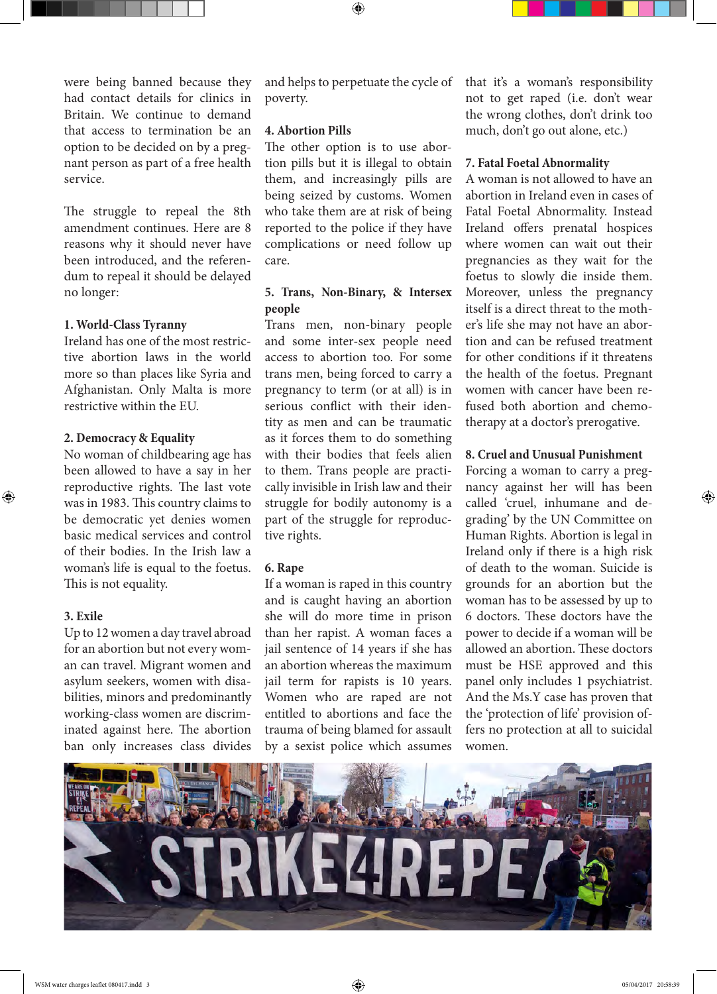were being banned because they had contact details for clinics in Britain. We continue to demand that access to termination be an option to be decided on by a pregnant person as part of a free health service.

The struggle to repeal the 8th amendment continues. Here are 8 reasons why it should never have been introduced, and the referendum to repeal it should be delayed no longer:

#### **1. World-Class Tyranny**

Ireland has one of the most restrictive abortion laws in the world more so than places like Syria and Afghanistan. Only Malta is more restrictive within the EU.

#### **2. Democracy & Equality**

No woman of childbearing age has been allowed to have a say in her reproductive rights. The last vote was in 1983. This country claims to be democratic yet denies women basic medical services and control of their bodies. In the Irish law a woman's life is equal to the foetus. This is not equality.

#### **3. Exile**

⊕

Up to 12 women a day travel abroad for an abortion but not every woman can travel. Migrant women and asylum seekers, women with disabilities, minors and predominantly working-class women are discriminated against here. The abortion ban only increases class divides and helps to perpetuate the cycle of poverty.

⊕

#### **4. Abortion Pills**

The other option is to use abortion pills but it is illegal to obtain them, and increasingly pills are being seized by customs. Women who take them are at risk of being reported to the police if they have complications or need follow up care.

# **5. Trans, Non-Binary, & Intersex people**

Trans men, non-binary people and some inter-sex people need access to abortion too. For some trans men, being forced to carry a pregnancy to term (or at all) is in serious conflict with their identity as men and can be traumatic as it forces them to do something with their bodies that feels alien to them. Trans people are practically invisible in Irish law and their struggle for bodily autonomy is a part of the struggle for reproductive rights.

#### **6. Rape**

If a woman is raped in this country and is caught having an abortion she will do more time in prison than her rapist. A woman faces a jail sentence of 14 years if she has an abortion whereas the maximum jail term for rapists is 10 years. Women who are raped are not entitled to abortions and face the trauma of being blamed for assault by a sexist police which assumes

that it's a woman's responsibility not to get raped (i.e. don't wear the wrong clothes, don't drink too much, don't go out alone, etc.)

## **7. Fatal Foetal Abnormality**

A woman is not allowed to have an abortion in Ireland even in cases of Fatal Foetal Abnormality. Instead Ireland offers prenatal hospices where women can wait out their pregnancies as they wait for the foetus to slowly die inside them. Moreover, unless the pregnancy itself is a direct threat to the mother's life she may not have an abortion and can be refused treatment for other conditions if it threatens the health of the foetus. Pregnant women with cancer have been refused both abortion and chemotherapy at a doctor's prerogative.

#### **8. Cruel and Unusual Punishment**

Forcing a woman to carry a pregnancy against her will has been called 'cruel, inhumane and degrading' by the UN Committee on Human Rights. Abortion is legal in Ireland only if there is a high risk of death to the woman. Suicide is grounds for an abortion but the woman has to be assessed by up to 6 doctors. These doctors have the power to decide if a woman will be allowed an abortion. These doctors must be HSE approved and this panel only includes 1 psychiatrist. And the Ms.Y case has proven that the 'protection of life' provision offers no protection at all to suicidal women.